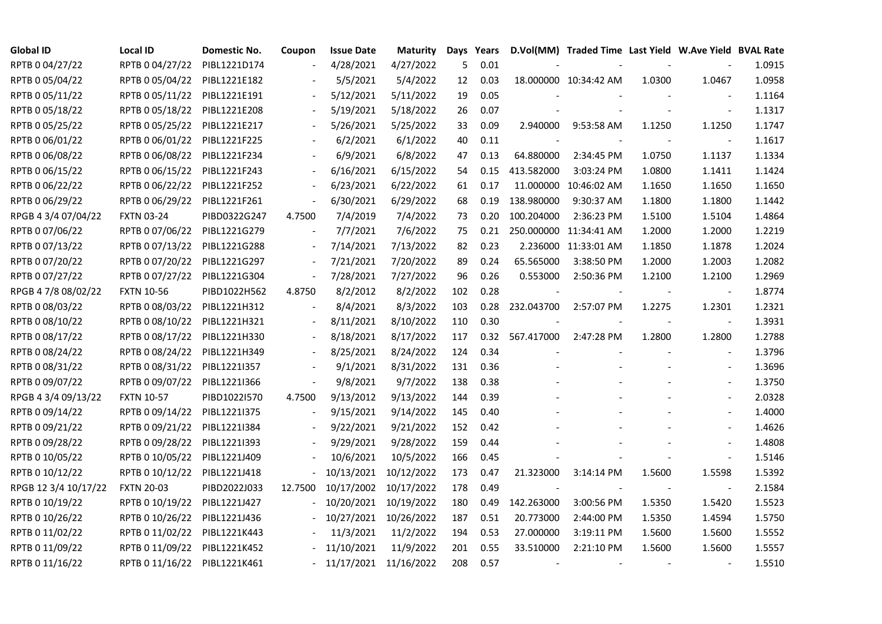| <b>Global ID</b>     | Local ID          | Domestic No. | Coupon                   | <b>Issue Date</b> | <b>Maturity</b> | Days | Years |                 | D.Vol(MM) Traded Time Last Yield W.Ave Yield BVAL Rate |        |                          |        |
|----------------------|-------------------|--------------|--------------------------|-------------------|-----------------|------|-------|-----------------|--------------------------------------------------------|--------|--------------------------|--------|
| RPTB 0 04/27/22      | RPTB 0 04/27/22   | PIBL1221D174 |                          | 4/28/2021         | 4/27/2022       | 5    | 0.01  |                 |                                                        |        |                          | 1.0915 |
| RPTB 0 05/04/22      | RPTB 0 05/04/22   | PIBL1221E182 |                          | 5/5/2021          | 5/4/2022        | 12   | 0.03  |                 | 18.000000 10:34:42 AM                                  | 1.0300 | 1.0467                   | 1.0958 |
| RPTB 0 05/11/22      | RPTB 0 05/11/22   | PIBL1221E191 | $\overline{\phantom{a}}$ | 5/12/2021         | 5/11/2022       | 19   | 0.05  |                 |                                                        |        |                          | 1.1164 |
| RPTB 0 05/18/22      | RPTB 0 05/18/22   | PIBL1221E208 | $\sim$                   | 5/19/2021         | 5/18/2022       | 26   | 0.07  |                 |                                                        |        | $\overline{\phantom{a}}$ | 1.1317 |
| RPTB 0 05/25/22      | RPTB 0 05/25/22   | PIBL1221E217 | $\overline{\phantom{a}}$ | 5/26/2021         | 5/25/2022       | 33   | 0.09  | 2.940000        | 9:53:58 AM                                             | 1.1250 | 1.1250                   | 1.1747 |
| RPTB 0 06/01/22      | RPTB 0 06/01/22   | PIBL1221F225 |                          | 6/2/2021          | 6/1/2022        | 40   | 0.11  |                 |                                                        |        | $\blacksquare$           | 1.1617 |
| RPTB 0 06/08/22      | RPTB 0 06/08/22   | PIBL1221F234 |                          | 6/9/2021          | 6/8/2022        | 47   | 0.13  | 64.880000       | 2:34:45 PM                                             | 1.0750 | 1.1137                   | 1.1334 |
| RPTB 0 06/15/22      | RPTB 0 06/15/22   | PIBL1221F243 |                          | 6/16/2021         | 6/15/2022       | 54   | 0.15  | 413.582000      | 3:03:24 PM                                             | 1.0800 | 1.1411                   | 1.1424 |
| RPTB 0 06/22/22      | RPTB 0 06/22/22   | PIBL1221F252 |                          | 6/23/2021         | 6/22/2022       | 61   | 0.17  | 11.000000       | 10:46:02 AM                                            | 1.1650 | 1.1650                   | 1.1650 |
| RPTB 0 06/29/22      | RPTB 0 06/29/22   | PIBL1221F261 | $\overline{\phantom{a}}$ | 6/30/2021         | 6/29/2022       | 68   | 0.19  | 138.980000      | 9:30:37 AM                                             | 1.1800 | 1.1800                   | 1.1442 |
| RPGB 4 3/4 07/04/22  | <b>FXTN 03-24</b> | PIBD0322G247 | 4.7500                   | 7/4/2019          | 7/4/2022        | 73   | 0.20  | 100.204000      | 2:36:23 PM                                             | 1.5100 | 1.5104                   | 1.4864 |
| RPTB 0 07/06/22      | RPTB 0 07/06/22   | PIBL1221G279 | $\overline{\phantom{a}}$ | 7/7/2021          | 7/6/2022        | 75   | 0.21  |                 | 250.000000 11:34:41 AM                                 | 1.2000 | 1.2000                   | 1.2219 |
| RPTB 0 07/13/22      | RPTB 0 07/13/22   | PIBL1221G288 | $\overline{\phantom{a}}$ | 7/14/2021         | 7/13/2022       | 82   | 0.23  |                 | 2.236000 11:33:01 AM                                   | 1.1850 | 1.1878                   | 1.2024 |
| RPTB 0 07/20/22      | RPTB 0 07/20/22   | PIBL1221G297 |                          | 7/21/2021         | 7/20/2022       | 89   | 0.24  | 65.565000       | 3:38:50 PM                                             | 1.2000 | 1.2003                   | 1.2082 |
| RPTB 0 07/27/22      | RPTB 0 07/27/22   | PIBL1221G304 | $\overline{\phantom{a}}$ | 7/28/2021         | 7/27/2022       | 96   | 0.26  | 0.553000        | 2:50:36 PM                                             | 1.2100 | 1.2100                   | 1.2969 |
| RPGB 4 7/8 08/02/22  | <b>FXTN 10-56</b> | PIBD1022H562 | 4.8750                   | 8/2/2012          | 8/2/2022        | 102  | 0.28  |                 |                                                        |        | $\overline{\phantom{a}}$ | 1.8774 |
| RPTB 0 08/03/22      | RPTB 0 08/03/22   | PIBL1221H312 | $\overline{\phantom{a}}$ | 8/4/2021          | 8/3/2022        | 103  | 0.28  | 232.043700      | 2:57:07 PM                                             | 1.2275 | 1.2301                   | 1.2321 |
| RPTB 0 08/10/22      | RPTB 0 08/10/22   | PIBL1221H321 | $\overline{\phantom{a}}$ | 8/11/2021         | 8/10/2022       | 110  | 0.30  |                 |                                                        |        | $\blacksquare$           | 1.3931 |
| RPTB 0 08/17/22      | RPTB 0 08/17/22   | PIBL1221H330 | $\sim$                   | 8/18/2021         | 8/17/2022       | 117  |       | 0.32 567.417000 | 2:47:28 PM                                             | 1.2800 | 1.2800                   | 1.2788 |
| RPTB 0 08/24/22      | RPTB 0 08/24/22   | PIBL1221H349 |                          | 8/25/2021         | 8/24/2022       | 124  | 0.34  |                 |                                                        |        | $\overline{\phantom{a}}$ | 1.3796 |
| RPTB 0 08/31/22      | RPTB 0 08/31/22   | PIBL1221I357 |                          | 9/1/2021          | 8/31/2022       | 131  | 0.36  |                 |                                                        |        | $\blacksquare$           | 1.3696 |
| RPTB 0 09/07/22      | RPTB 0 09/07/22   | PIBL1221I366 | $\overline{\phantom{a}}$ | 9/8/2021          | 9/7/2022        | 138  | 0.38  |                 |                                                        |        |                          | 1.3750 |
| RPGB 4 3/4 09/13/22  | <b>FXTN 10-57</b> | PIBD1022I570 | 4.7500                   | 9/13/2012         | 9/13/2022       | 144  | 0.39  |                 |                                                        |        |                          | 2.0328 |
| RPTB 0 09/14/22      | RPTB 0 09/14/22   | PIBL1221I375 | $\overline{\phantom{a}}$ | 9/15/2021         | 9/14/2022       | 145  | 0.40  |                 |                                                        |        | $\blacksquare$           | 1.4000 |
| RPTB 0 09/21/22      | RPTB 0 09/21/22   | PIBL1221I384 | $\overline{\phantom{a}}$ | 9/22/2021         | 9/21/2022       | 152  | 0.42  |                 |                                                        |        | $\overline{\phantom{a}}$ | 1.4626 |
| RPTB 0 09/28/22      | RPTB 0 09/28/22   | PIBL1221I393 |                          | 9/29/2021         | 9/28/2022       | 159  | 0.44  |                 |                                                        |        | $\blacksquare$           | 1.4808 |
| RPTB 0 10/05/22      | RPTB 0 10/05/22   | PIBL1221J409 |                          | 10/6/2021         | 10/5/2022       | 166  | 0.45  |                 |                                                        |        | $\blacksquare$           | 1.5146 |
| RPTB 0 10/12/22      | RPTB 0 10/12/22   | PIBL1221J418 |                          | 10/13/2021        | 10/12/2022      | 173  | 0.47  | 21.323000       | 3:14:14 PM                                             | 1.5600 | 1.5598                   | 1.5392 |
| RPGB 12 3/4 10/17/22 | <b>FXTN 20-03</b> | PIBD2022J033 | 12.7500                  | 10/17/2002        | 10/17/2022      | 178  | 0.49  | $\sim$          |                                                        |        | $\blacksquare$           | 2.1584 |
| RPTB 0 10/19/22      | RPTB 0 10/19/22   | PIBL1221J427 |                          | 10/20/2021        | 10/19/2022      | 180  | 0.49  | 142.263000      | 3:00:56 PM                                             | 1.5350 | 1.5420                   | 1.5523 |
| RPTB 0 10/26/22      | RPTB 0 10/26/22   | PIBL1221J436 |                          | 10/27/2021        | 10/26/2022      | 187  | 0.51  | 20.773000       | 2:44:00 PM                                             | 1.5350 | 1.4594                   | 1.5750 |
| RPTB 0 11/02/22      | RPTB 0 11/02/22   | PIBL1221K443 |                          | 11/3/2021         | 11/2/2022       | 194  | 0.53  | 27.000000       | 3:19:11 PM                                             | 1.5600 | 1.5600                   | 1.5552 |
| RPTB 0 11/09/22      | RPTB 0 11/09/22   | PIBL1221K452 |                          | 11/10/2021        | 11/9/2022       | 201  | 0.55  | 33.510000       | 2:21:10 PM                                             | 1.5600 | 1.5600                   | 1.5557 |
| RPTB 0 11/16/22      | RPTB 0 11/16/22   | PIBL1221K461 |                          | 11/17/2021        | 11/16/2022      | 208  | 0.57  |                 |                                                        |        |                          | 1.5510 |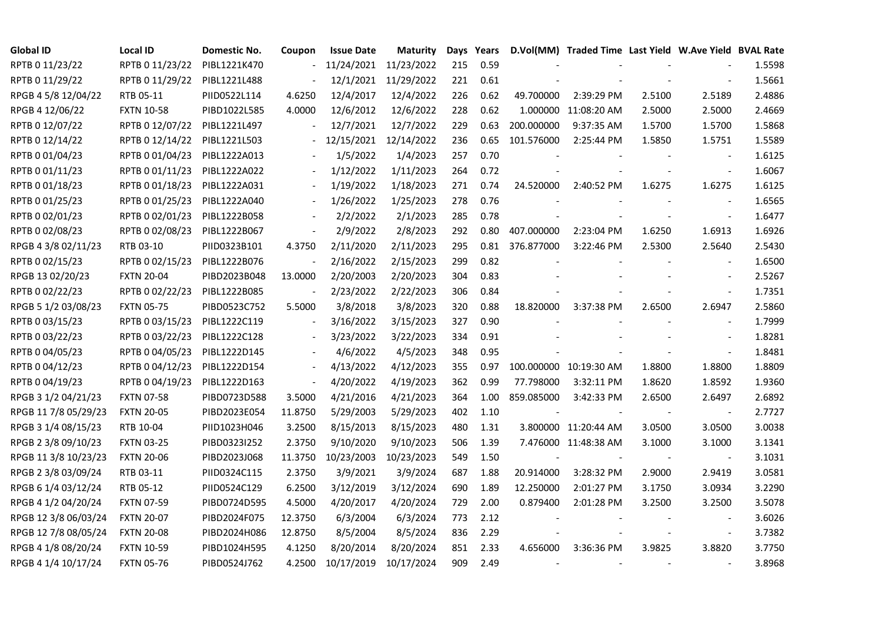| <b>Global ID</b>     | <b>Local ID</b>   | Domestic No. | Coupon                   | <b>Issue Date</b> | <b>Maturity</b>       | Days | Years |                 | D.Vol(MM) Traded Time Last Yield W.Ave Yield BVAL Rate |        |                          |        |
|----------------------|-------------------|--------------|--------------------------|-------------------|-----------------------|------|-------|-----------------|--------------------------------------------------------|--------|--------------------------|--------|
| RPTB 0 11/23/22      | RPTB 0 11/23/22   | PIBL1221K470 | $\overline{\phantom{a}}$ |                   | 11/24/2021 11/23/2022 | 215  | 0.59  |                 |                                                        |        |                          | 1.5598 |
| RPTB 0 11/29/22      | RPTB 0 11/29/22   | PIBL1221L488 |                          |                   | 12/1/2021 11/29/2022  | 221  | 0.61  |                 |                                                        |        |                          | 1.5661 |
| RPGB 4 5/8 12/04/22  | RTB 05-11         | PIID0522L114 | 4.6250                   | 12/4/2017         | 12/4/2022             | 226  | 0.62  | 49.700000       | 2:39:29 PM                                             | 2.5100 | 2.5189                   | 2.4886 |
| RPGB 4 12/06/22      | <b>FXTN 10-58</b> | PIBD1022L585 | 4.0000                   | 12/6/2012         | 12/6/2022             | 228  | 0.62  |                 | 1.000000 11:08:20 AM                                   | 2.5000 | 2.5000                   | 2.4669 |
| RPTB 0 12/07/22      | RPTB 0 12/07/22   | PIBL1221L497 | $\overline{\phantom{a}}$ | 12/7/2021         | 12/7/2022             | 229  | 0.63  | 200.000000      | 9:37:35 AM                                             | 1.5700 | 1.5700                   | 1.5868 |
| RPTB 0 12/14/22      | RPTB 0 12/14/22   | PIBL1221L503 |                          | 12/15/2021        | 12/14/2022            | 236  | 0.65  | 101.576000      | 2:25:44 PM                                             | 1.5850 | 1.5751                   | 1.5589 |
| RPTB 0 01/04/23      | RPTB 0 01/04/23   | PIBL1222A013 |                          | 1/5/2022          | 1/4/2023              | 257  | 0.70  |                 |                                                        |        | $\overline{\phantom{a}}$ | 1.6125 |
| RPTB 0 01/11/23      | RPTB 0 01/11/23   | PIBL1222A022 |                          | 1/12/2022         | 1/11/2023             | 264  | 0.72  |                 |                                                        |        | $\blacksquare$           | 1.6067 |
| RPTB 0 01/18/23      | RPTB 0 01/18/23   | PIBL1222A031 |                          | 1/19/2022         | 1/18/2023             | 271  | 0.74  | 24.520000       | 2:40:52 PM                                             | 1.6275 | 1.6275                   | 1.6125 |
| RPTB 0 01/25/23      | RPTB 0 01/25/23   | PIBL1222A040 | $\overline{\phantom{a}}$ | 1/26/2022         | 1/25/2023             | 278  | 0.76  |                 |                                                        |        | $\overline{\phantom{a}}$ | 1.6565 |
| RPTB 0 02/01/23      | RPTB 0 02/01/23   | PIBL1222B058 | $\sim$                   | 2/2/2022          | 2/1/2023              | 285  | 0.78  |                 |                                                        |        | $\sim$                   | 1.6477 |
| RPTB 0 02/08/23      | RPTB 0 02/08/23   | PIBL1222B067 | $\sim$                   | 2/9/2022          | 2/8/2023              | 292  | 0.80  | 407.000000      | 2:23:04 PM                                             | 1.6250 | 1.6913                   | 1.6926 |
| RPGB 4 3/8 02/11/23  | RTB 03-10         | PIID0323B101 | 4.3750                   | 2/11/2020         | 2/11/2023             | 295  |       | 0.81 376.877000 | 3:22:46 PM                                             | 2.5300 | 2.5640                   | 2.5430 |
| RPTB 0 02/15/23      | RPTB 0 02/15/23   | PIBL1222B076 | $\overline{\phantom{a}}$ | 2/16/2022         | 2/15/2023             | 299  | 0.82  |                 |                                                        |        | $\overline{\phantom{a}}$ | 1.6500 |
| RPGB 13 02/20/23     | <b>FXTN 20-04</b> | PIBD2023B048 | 13.0000                  | 2/20/2003         | 2/20/2023             | 304  | 0.83  |                 |                                                        |        | $\overline{\phantom{a}}$ | 2.5267 |
| RPTB 0 02/22/23      | RPTB 0 02/22/23   | PIBL1222B085 |                          | 2/23/2022         | 2/22/2023             | 306  | 0.84  |                 |                                                        |        | $\overline{\phantom{a}}$ | 1.7351 |
| RPGB 5 1/2 03/08/23  | <b>FXTN 05-75</b> | PIBD0523C752 | 5.5000                   | 3/8/2018          | 3/8/2023              | 320  | 0.88  | 18.820000       | 3:37:38 PM                                             | 2.6500 | 2.6947                   | 2.5860 |
| RPTB 0 03/15/23      | RPTB 0 03/15/23   | PIBL1222C119 | $\overline{\phantom{a}}$ | 3/16/2022         | 3/15/2023             | 327  | 0.90  |                 |                                                        |        | $\blacksquare$           | 1.7999 |
| RPTB 0 03/22/23      | RPTB 0 03/22/23   | PIBL1222C128 | $\overline{\phantom{a}}$ | 3/23/2022         | 3/22/2023             | 334  | 0.91  |                 |                                                        |        |                          | 1.8281 |
| RPTB 0 04/05/23      | RPTB 0 04/05/23   | PIBL1222D145 |                          | 4/6/2022          | 4/5/2023              | 348  | 0.95  |                 |                                                        |        | $\sim$                   | 1.8481 |
| RPTB 0 04/12/23      | RPTB 0 04/12/23   | PIBL1222D154 |                          | 4/13/2022         | 4/12/2023             | 355  | 0.97  |                 | 100.000000 10:19:30 AM                                 | 1.8800 | 1.8800                   | 1.8809 |
| RPTB 0 04/19/23      | RPTB 0 04/19/23   | PIBL1222D163 | $\sim$                   | 4/20/2022         | 4/19/2023             | 362  | 0.99  | 77.798000       | 3:32:11 PM                                             | 1.8620 | 1.8592                   | 1.9360 |
| RPGB 3 1/2 04/21/23  | <b>FXTN 07-58</b> | PIBD0723D588 | 3.5000                   | 4/21/2016         | 4/21/2023             | 364  | 1.00  | 859.085000      | 3:42:33 PM                                             | 2.6500 | 2.6497                   | 2.6892 |
| RPGB 11 7/8 05/29/23 | <b>FXTN 20-05</b> | PIBD2023E054 | 11.8750                  | 5/29/2003         | 5/29/2023             | 402  | 1.10  |                 |                                                        |        |                          | 2.7727 |
| RPGB 3 1/4 08/15/23  | RTB 10-04         | PIID1023H046 | 3.2500                   | 8/15/2013         | 8/15/2023             | 480  | 1.31  |                 | 3.800000 11:20:44 AM                                   | 3.0500 | 3.0500                   | 3.0038 |
| RPGB 2 3/8 09/10/23  | <b>FXTN 03-25</b> | PIBD0323I252 | 2.3750                   | 9/10/2020         | 9/10/2023             | 506  | 1.39  |                 | 7.476000 11:48:38 AM                                   | 3.1000 | 3.1000                   | 3.1341 |
| RPGB 11 3/8 10/23/23 | <b>FXTN 20-06</b> | PIBD2023J068 | 11.3750                  | 10/23/2003        | 10/23/2023            | 549  | 1.50  |                 |                                                        |        | $\overline{\phantom{a}}$ | 3.1031 |
| RPGB 2 3/8 03/09/24  | RTB 03-11         | PIID0324C115 | 2.3750                   | 3/9/2021          | 3/9/2024              | 687  | 1.88  | 20.914000       | 3:28:32 PM                                             | 2.9000 | 2.9419                   | 3.0581 |
| RPGB 6 1/4 03/12/24  | RTB 05-12         | PIID0524C129 | 6.2500                   | 3/12/2019         | 3/12/2024             | 690  | 1.89  | 12.250000       | 2:01:27 PM                                             | 3.1750 | 3.0934                   | 3.2290 |
| RPGB 4 1/2 04/20/24  | <b>FXTN 07-59</b> | PIBD0724D595 | 4.5000                   | 4/20/2017         | 4/20/2024             | 729  | 2.00  | 0.879400        | 2:01:28 PM                                             | 3.2500 | 3.2500                   | 3.5078 |
| RPGB 12 3/8 06/03/24 | <b>FXTN 20-07</b> | PIBD2024F075 | 12.3750                  | 6/3/2004          | 6/3/2024              | 773  | 2.12  |                 |                                                        |        |                          | 3.6026 |
| RPGB 12 7/8 08/05/24 | <b>FXTN 20-08</b> | PIBD2024H086 | 12.8750                  | 8/5/2004          | 8/5/2024              | 836  | 2.29  |                 |                                                        |        | $\blacksquare$           | 3.7382 |
| RPGB 4 1/8 08/20/24  | <b>FXTN 10-59</b> | PIBD1024H595 | 4.1250                   | 8/20/2014         | 8/20/2024             | 851  | 2.33  | 4.656000        | 3:36:36 PM                                             | 3.9825 | 3.8820                   | 3.7750 |
| RPGB 4 1/4 10/17/24  | <b>FXTN 05-76</b> | PIBD0524J762 | 4.2500                   | 10/17/2019        | 10/17/2024            | 909  | 2.49  |                 |                                                        |        |                          | 3.8968 |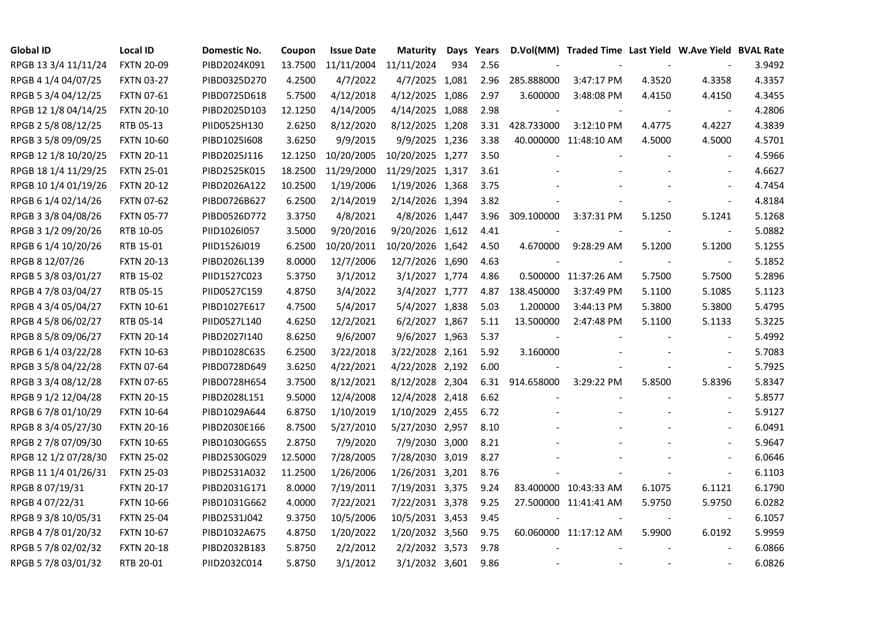| <b>Global ID</b>     | <b>Local ID</b>   | Domestic No. | Coupon  | <b>Issue Date</b>     | Maturity         |     | Days Years |                          | D.Vol(MM) Traded Time Last Yield W.Ave Yield BVAL Rate |        |                          |        |
|----------------------|-------------------|--------------|---------|-----------------------|------------------|-----|------------|--------------------------|--------------------------------------------------------|--------|--------------------------|--------|
| RPGB 13 3/4 11/11/24 | <b>FXTN 20-09</b> | PIBD2024K091 | 13.7500 | 11/11/2004 11/11/2024 |                  | 934 | 2.56       |                          |                                                        |        |                          | 3.9492 |
| RPGB 4 1/4 04/07/25  | <b>FXTN 03-27</b> | PIBD0325D270 | 4.2500  | 4/7/2022              | 4/7/2025 1,081   |     | 2.96       | 285.888000               | 3:47:17 PM                                             | 4.3520 | 4.3358                   | 4.3357 |
| RPGB 5 3/4 04/12/25  | <b>FXTN 07-61</b> | PIBD0725D618 | 5.7500  | 4/12/2018             | 4/12/2025 1,086  |     | 2.97       | 3.600000                 | 3:48:08 PM                                             | 4.4150 | 4.4150                   | 4.3455 |
| RPGB 12 1/8 04/14/25 | <b>FXTN 20-10</b> | PIBD2025D103 | 12.1250 | 4/14/2005             | 4/14/2025 1,088  |     | 2.98       |                          |                                                        |        |                          | 4.2806 |
| RPGB 2 5/8 08/12/25  | RTB 05-13         | PIID0525H130 | 2.6250  | 8/12/2020             | 8/12/2025 1,208  |     | 3.31       | 428.733000               | 3:12:10 PM                                             | 4.4775 | 4.4227                   | 4.3839 |
| RPGB 3 5/8 09/09/25  | <b>FXTN 10-60</b> | PIBD10251608 | 3.6250  | 9/9/2015              | 9/9/2025 1,236   |     | 3.38       |                          | 40.000000 11:48:10 AM                                  | 4.5000 | 4.5000                   | 4.5701 |
| RPGB 12 1/8 10/20/25 | <b>FXTN 20-11</b> | PIBD2025J116 | 12.1250 | 10/20/2005            | 10/20/2025 1,277 |     | 3.50       |                          |                                                        |        | $\sim$                   | 4.5966 |
| RPGB 18 1/4 11/29/25 | <b>FXTN 25-01</b> | PIBD2525K015 | 18.2500 | 11/29/2000            | 11/29/2025 1,317 |     | 3.61       |                          |                                                        |        |                          | 4.6627 |
| RPGB 10 1/4 01/19/26 | <b>FXTN 20-12</b> | PIBD2026A122 | 10.2500 | 1/19/2006             | 1/19/2026 1,368  |     | 3.75       |                          |                                                        |        |                          | 4.7454 |
| RPGB 6 1/4 02/14/26  | <b>FXTN 07-62</b> | PIBD0726B627 | 6.2500  | 2/14/2019             | 2/14/2026 1,394  |     | 3.82       |                          |                                                        |        | $\overline{\phantom{a}}$ | 4.8184 |
| RPGB 3 3/8 04/08/26  | <b>FXTN 05-77</b> | PIBD0526D772 | 3.3750  | 4/8/2021              | 4/8/2026 1,447   |     | 3.96       | 309.100000               | 3:37:31 PM                                             | 5.1250 | 5.1241                   | 5.1268 |
| RPGB 3 1/2 09/20/26  | RTB 10-05         | PIID1026I057 | 3.5000  | 9/20/2016             | 9/20/2026 1,612  |     | 4.41       |                          |                                                        |        | $\blacksquare$           | 5.0882 |
| RPGB 6 1/4 10/20/26  | RTB 15-01         | PIID1526J019 | 6.2500  | 10/20/2011            | 10/20/2026 1,642 |     | 4.50       | 4.670000                 | 9:28:29 AM                                             | 5.1200 | 5.1200                   | 5.1255 |
| RPGB 8 12/07/26      | <b>FXTN 20-13</b> | PIBD2026L139 | 8.0000  | 12/7/2006             | 12/7/2026 1,690  |     | 4.63       | $\overline{\phantom{a}}$ |                                                        |        | $\bar{\phantom{a}}$      | 5.1852 |
| RPGB 5 3/8 03/01/27  | RTB 15-02         | PIID1527C023 | 5.3750  | 3/1/2012              | 3/1/2027 1,774   |     | 4.86       |                          | 0.500000 11:37:26 AM                                   | 5.7500 | 5.7500                   | 5.2896 |
| RPGB 4 7/8 03/04/27  | RTB 05-15         | PIID0527C159 | 4.8750  | 3/4/2022              | 3/4/2027 1,777   |     | 4.87       | 138.450000               | 3:37:49 PM                                             | 5.1100 | 5.1085                   | 5.1123 |
| RPGB 4 3/4 05/04/27  | <b>FXTN 10-61</b> | PIBD1027E617 | 4.7500  | 5/4/2017              | 5/4/2027 1,838   |     | 5.03       | 1.200000                 | 3:44:13 PM                                             | 5.3800 | 5.3800                   | 5.4795 |
| RPGB 4 5/8 06/02/27  | RTB 05-14         | PIID0527L140 | 4.6250  | 12/2/2021             | 6/2/2027 1,867   |     | 5.11       | 13.500000                | 2:47:48 PM                                             | 5.1100 | 5.1133                   | 5.3225 |
| RPGB 8 5/8 09/06/27  | <b>FXTN 20-14</b> | PIBD2027I140 | 8.6250  | 9/6/2007              | 9/6/2027 1,963   |     | 5.37       |                          |                                                        |        |                          | 5.4992 |
| RPGB 6 1/4 03/22/28  | <b>FXTN 10-63</b> | PIBD1028C635 | 6.2500  | 3/22/2018             | 3/22/2028 2,161  |     | 5.92       | 3.160000                 |                                                        |        | $\sim$                   | 5.7083 |
| RPGB 3 5/8 04/22/28  | <b>FXTN 07-64</b> | PIBD0728D649 | 3.6250  | 4/22/2021             | 4/22/2028 2,192  |     | 6.00       |                          |                                                        |        | $\blacksquare$           | 5.7925 |
| RPGB 3 3/4 08/12/28  | <b>FXTN 07-65</b> | PIBD0728H654 | 3.7500  | 8/12/2021             | 8/12/2028 2,304  |     | 6.31       | 914.658000               | 3:29:22 PM                                             | 5.8500 | 5.8396                   | 5.8347 |
| RPGB 9 1/2 12/04/28  | <b>FXTN 20-15</b> | PIBD2028L151 | 9.5000  | 12/4/2008             | 12/4/2028 2,418  |     | 6.62       |                          |                                                        |        |                          | 5.8577 |
| RPGB 67/8 01/10/29   | <b>FXTN 10-64</b> | PIBD1029A644 | 6.8750  | 1/10/2019             | 1/10/2029 2,455  |     | 6.72       |                          |                                                        |        | $\sim$                   | 5.9127 |
| RPGB 8 3/4 05/27/30  | <b>FXTN 20-16</b> | PIBD2030E166 | 8.7500  | 5/27/2010             | 5/27/2030 2,957  |     | 8.10       |                          |                                                        |        | $\overline{\phantom{a}}$ | 6.0491 |
| RPGB 2 7/8 07/09/30  | <b>FXTN 10-65</b> | PIBD1030G655 | 2.8750  | 7/9/2020              | 7/9/2030 3,000   |     | 8.21       |                          |                                                        |        | $\overline{\phantom{a}}$ | 5.9647 |
| RPGB 12 1/2 07/28/30 | <b>FXTN 25-02</b> | PIBD2530G029 | 12.5000 | 7/28/2005             | 7/28/2030 3,019  |     | 8.27       |                          |                                                        |        | $\blacksquare$           | 6.0646 |
| RPGB 11 1/4 01/26/31 | <b>FXTN 25-03</b> | PIBD2531A032 | 11.2500 | 1/26/2006             | 1/26/2031 3,201  |     | 8.76       |                          |                                                        |        | $\blacksquare$           | 6.1103 |
| RPGB 8 07/19/31      | <b>FXTN 20-17</b> | PIBD2031G171 | 8.0000  | 7/19/2011             | 7/19/2031 3,375  |     | 9.24       |                          | 83.400000 10:43:33 AM                                  | 6.1075 | 6.1121                   | 6.1790 |
| RPGB 4 07/22/31      | <b>FXTN 10-66</b> | PIBD1031G662 | 4.0000  | 7/22/2021             | 7/22/2031 3,378  |     | 9.25       |                          | 27.500000 11:41:41 AM                                  | 5.9750 | 5.9750                   | 6.0282 |
| RPGB 9 3/8 10/05/31  | <b>FXTN 25-04</b> | PIBD2531J042 | 9.3750  | 10/5/2006             | 10/5/2031 3,453  |     | 9.45       |                          |                                                        |        | $\overline{\phantom{a}}$ | 6.1057 |
| RPGB 4 7/8 01/20/32  | <b>FXTN 10-67</b> | PIBD1032A675 | 4.8750  | 1/20/2022             | 1/20/2032 3,560  |     | 9.75       |                          | 60.060000 11:17:12 AM                                  | 5.9900 | 6.0192                   | 5.9959 |
| RPGB 5 7/8 02/02/32  | <b>FXTN 20-18</b> | PIBD2032B183 | 5.8750  | 2/2/2012              | 2/2/2032 3,573   |     | 9.78       |                          |                                                        |        |                          | 6.0866 |
| RPGB 5 7/8 03/01/32  | RTB 20-01         | PIID2032C014 | 5.8750  | 3/1/2012              | 3/1/2032 3,601   |     | 9.86       | $\sim$                   | $\sim$                                                 |        | $\sim$                   | 6.0826 |